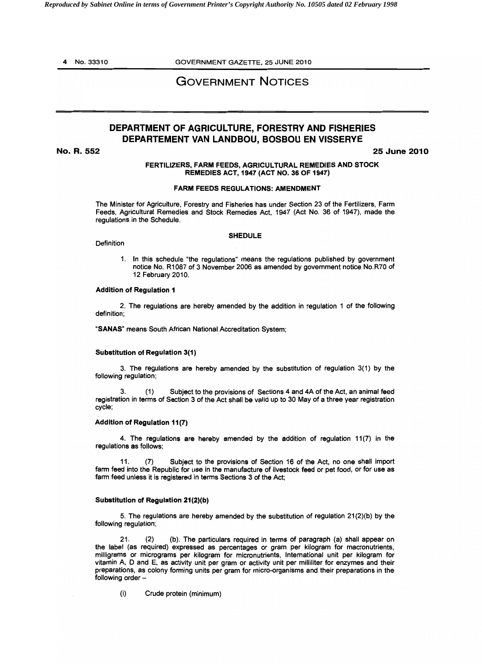4 No. 33310 GOVERNMENT GAZETTE, 25 JUNE 2010

# GOVERNMENT NOTICES

# DEPARTMENT OF AGRICULTURE, FORESTRY AND FISHERIES DEPARTEMENT VAN LANDBOU, BOSBOU EN VISSERYE

No. R. 552 25 June 2010

## FERTILIZERS, FARM FEEDS, AGRICULTURAL REMEDIES AND STOCK REMEDIES ACT, 1947 (ACT NO. 36 OF 1947)

#### FARM FEEDS REGULATIONS: AMENDMENT

The Minister for Agriculture, Forestry and Fisheries has under Section 23 of the Fertilizers, Farm Feeds, Agricultural Remedies and Stock Remedies Act, 1947 (Act No. 36 of 1947), made the regulations in the Schedule.

#### SHEDULE

1. In this schedule "the regulations" means the regulations published by government notice No. R1 087 of 3 November 2006 as amended by government notice No.R70 of 12 February 2010.

#### Addition of Regulation 1

**Definition** 

2. The regulations are hereby amended by the addition in regulation 1 of the following definition;

"SANAS' means South African National Accreditation System;

### Substitution of Regulation 3(1)

3. The regulations are hereby amended by the substitution of regulation 3(1) by the following regulation;

3. (1) Subject to the provisions of Sections 4 and 4A of the Act, an animal feed registration in terms of Section 3 of the Act shall be valid up to 30 May of a three year registration cycle;

### Addition of Regulation 11(7)

4. The regulations are hereby amended by the addition of regulation  $11(7)$  in the regulations as follows;

11. (7) Subject to the provisions of Section 16 of the Act, no one shall import farm feed into the Republic for use in the manufacture of livestock feed or pet food, or for use as farm feed unless it is registered in terms Sections 3 of the Act;

### Substitution of Regulation 21(2)(b)

5. The regulations are hereby amended by the substitution of regulation  $21(2)(b)$  by the following regulation;

21. (2) (b). The particulars required in terms of paragraph (a) shall appear on the label (as required) expressed as percentages or gram per kilogram for macronutrients, milligrams or micrograms per kilogram for micronutrients, International unit per kilogram for vitamin A, 0 and E, as activity unit per gram or activity unit per milliliter for enzymes and their preparations, as colony forming units per gram for micro-organisms and their preparations in the following order

(i) Crude protein (minimum)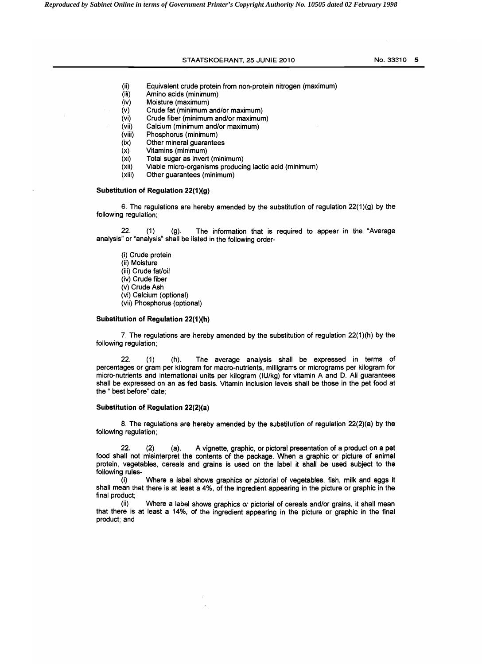# STAATSKOERANT, 25 JUNIE 2010 NO. 33310 5

- (ii) Equivalent crude protein from non-protein nitrogen (maximum)<br>(iii) Amino acids (minimum)
- (iii) Amino acids (minimum)<br>(iv) Moisture (maximum)
- Moisture (maximum)
- (v) Crude fat (minimum and/or maximum)
- (vi) Crude fiber (minimum and/or maximum)<br>(vii) Calcium (minimum and/or maximum)
- (vii) Calcium (minimum and/or maximum)
- Phosphorus (minimum)
- (ix) Other mineral guarantees
- (x) Vitamins (minimum)<br>(xi) Total sugar as inver
- (xi) Total sugar as invert (minimum)<br>(xii) Viable micro-organisms producing
- (xii) Viable micro-organisms producing lactic acid (minimum)
- Other guarantees (minimum)

# Substitution of Regulation  $22(1)(g)$

6. The regulations are hereby amended by the substitution of regulation  $22(1)(g)$  by the following regulation;

 $22.$  (1) (g). The information that is required to appear in the "Average analysis" or "analysis" shall be listed in the following order

(i) Crude protein (ii) Moisture (iii) Crude fat/oil (iv) Crude fiber (v) Crude Ash (vi) Calcium (optional) (vii) Phosphorus (optional)

#### Substitution of Regulation 22(1 )(h)

7. The regulations are hereby amended by the substitution of regulation 22(1)(h) by the following regulation;

22. (1) (h). The average analysis shall be expressed in terms of percentages or gram per kilogram for macro-nutrients, milligrams or micrograms per kilogram for micro-nutrients and international units per kilogram (IU/kg) for vitamin A and D. All guarantees shall be expressed on an as fed basis. Vitamin inclusion levels shall be those in the pet food at the " best before" date;

### Substitution of Regulation 22(2)(a)

8. The regulations are hereby amended by the substitution of regulation 22(2)(a) by the following regulation;

22. (2) (a). A vignette, graphic. or pictoral presentation of a product on a pet food shall not misinterpret the contents of the package. When a graphic or picture of animal protein, vegetables, cereals and grains is used on the label it shall be used subject to the following rules

(i) Where a label shows graphics or pictorial of vegetables, fish. milk and eggs it shall mean that there is at least a 4%, of the ingredient appearing in the picture or graphic in the final product;

(ii) Where a label shows graphics or pictorial of cereals and/or grains, it shall mean that there is at least a 14%, of the ingredient appearing in the picture or graphic in the final product; and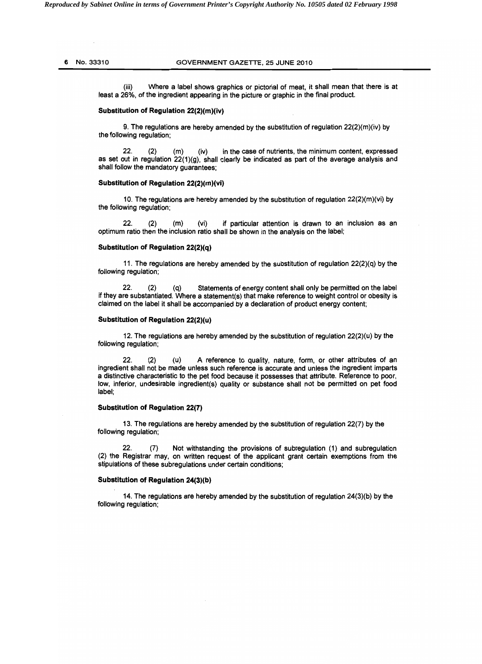# 6 NO.33310 GOVERNMENT GAZETTE, 25 JUNE 2010

(iii) Where a label shows graphics or pictorial of meat, it shall mean that there is at least a 26%, of the ingredient appearing in the picture or graphic in the final product.

# Substitution of Regulation 22(2)(m)(iv}

9. The regulations are hereby amended by the substitution of regulation  $22(2)(m)(iv)$  by the following regulation;

22. (2) (m) (iv) in the case of nutrients, the minimum content, expressed as set out in regulation  $22(1)(g)$ , shall clearly be indicated as part of the average analysis and shall follow the mandatory guarantees;

### Substitution of Regulation 22(2)(m)(vi)

10. The regulations are hereby amended by the substitution of regulation 22(2)(m)(vi) by the following regulation;

22. (2) (m) (vi) if particular attention is drawn to an inclusion as an optimum ratio then the inclusion ratio shall be shown in the analysis on the label;

#### Substitution of Regulation 22(2}(q)

11. The regulations are hereby amended by the substitution of regulation 22(2)(q) by the following regulation;

22. (2) (q) Statements of energy content shall only be permitted on the label if they are substantiated. Where a statement(s) that make reference to weight control or obesity is claimed on the label it shall be accompanied by a declaration of product energy content;

#### Substitution of Regulation 22(2)(u)

12. The regulations are hereby amended by the substitution of regulation  $22(2)(u)$  by the following regulation;

22. (2) (u) A reference to quality, nature, form, or other attributes of an ingredient shall not be made unless such reference is accurate and unless the ingredient imparts a distinctive characteristic to the pet food because it possesses that attribute. Reference to poor, low, inferior, undesirable ingredient(s) quality or substance shall not be permitted on pet food label;

### Substitution of Regulation 22(7}

13. The regulations are hereby amended by the substitution of regulation 22(7) by the following regulation;

22. (7) Not withstanding the provisions of subregulation (1) and subregulation (2) the Registrar may, on written request of the applicant grant certain exemptions from the stipulations of these subregulations under certain conditions;

#### Substitution of Regulation 24(3)(b)

14. The regulations are hereby amended by the substitution of regulation 24(3)(b) by the following regulation;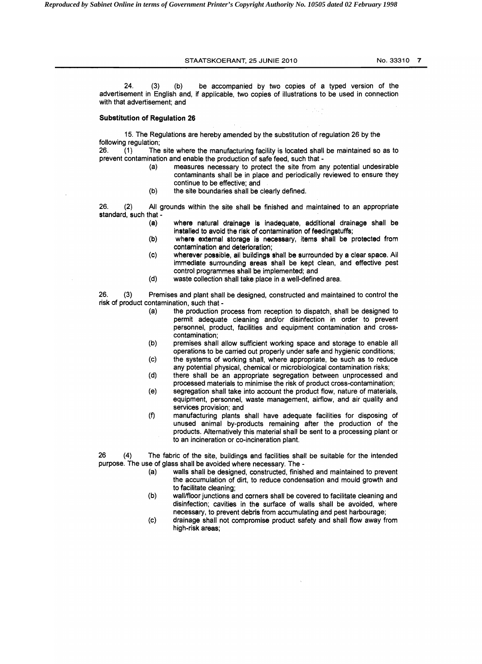STAATSKOERANT, 25 JUNIE 2010 No. 33310 7

24. (3) (b) be accompanied by two copies of a typed version of the advertisement in English and, if applicable, two copies of illustrations to be used in connection with that advertisement; and

### Substitution of Regulation 26

15. The Regulations are hereby amended by the substitution of regulation 26 by the following regulation;

26. (1) The site where the manufacturing facility is located shall be maintained so as to prevent contamination and enable the production of safe feed, such that

> (a) measures necessary to protect the site from any potential undesirable contaminants shall be in place and periodically reviewed to ensure they continue to be effective; and

sta f

(b) the site boundaries shall be clearly defined.

26. (2) All grounds within the site shall be finished and maintained to an appropriate standard, such that -

- (a) where natural drainage is inadequate, additional drainage shall be installed to avoid the risk of contamination of feedingstuffs;
- (b) where external storage is necessary, items shall be protected from contamination and deterioration;
- (c) wherever possible, all buildings shall be surrounded by a clear space. All immediate surrounding areas shall be kept clean, and effective pest control programmes shall be implemented; and
- (d) waste collection shall take place in a well-defined area.

26. (3) Premises and plant shall be designed, constructed and maintained to control the risk of product contamination, such that

- (a) the production process from reception to dispatch, shall be designed to permit adequate cleaning and/or disinfection in order to prevent personnel, product, facilities and equipment contamination and crosscontamination;
- (b) premises shall allow sufficient working space and storage to enable all operations to be carried out properly under safe and hygienic conditions;
- (c) the systems of working shall, where appropriate, be such as to reduce any potential physical, chemical or microbiological contamination risks;
- (d) there shall be an appropriate segregation between unprocessed and processed materials to minimise the risk of product cross-contamination;
- (e) segregation shall take into account the product flow, nature of materials, equipment, personnel, waste management, airflow, and air quality and services provision; and
- (f) manufacturing plants shall have adequate facilities for disposing of unused animal by-products remaining after the production of the products. Alternatively this material shall be sent to a processing plant or to an incineration or co-incineration plant.

26 (4) The fabric of the site, buildings and facilities shall be suitable for the intended purpose. The use of glass shall be avoided where necessary. The

- (a) walls shall be designed, constructed, finished and maintained to prevent the accumulation of dirt, to reduce condensation and mould growth and to facilitate cleaning;
- (b) wall/floor junctions and corners shall be covered to facilitate cleaning and disinfection; cavities in the surface of walls shall be avoided, where necessary, to prevent debris from accumulating and pest harbourage;
- (c) drainage shall not compromise product safety and shall flow away from high-risk areas;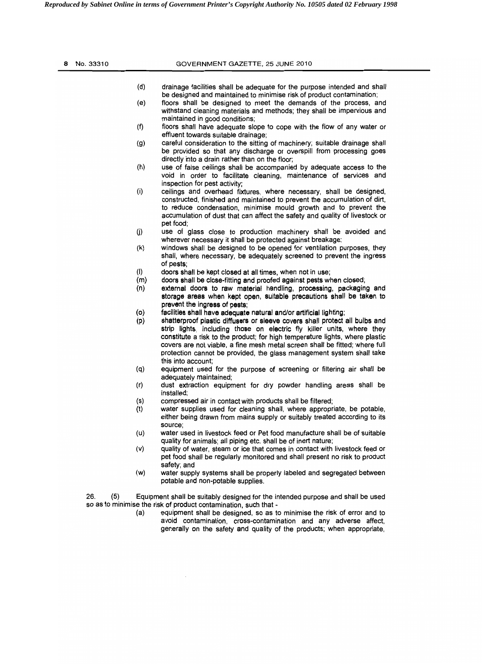| No. 33310  | GOVERNMENT GAZETTE, 25 JUNE 2010                                                                                                                                                                                                                                                                                                                                                                                                                                                                        |  |
|------------|---------------------------------------------------------------------------------------------------------------------------------------------------------------------------------------------------------------------------------------------------------------------------------------------------------------------------------------------------------------------------------------------------------------------------------------------------------------------------------------------------------|--|
|            | (d)<br>drainage facilities shall be adequate for the purpose intended and shall<br>be designed and maintained to minimise risk of product contamination;                                                                                                                                                                                                                                                                                                                                                |  |
|            | (e)<br>floors shall be designed to meet the demands of the process, and<br>withstand cleaning materials and methods; they shall be impervious and<br>maintained in good conditions;                                                                                                                                                                                                                                                                                                                     |  |
|            | (f)<br>floors shall have adequate slope to cope with the flow of any water or<br>effluent towards suitable drainage;                                                                                                                                                                                                                                                                                                                                                                                    |  |
|            | careful consideration to the sitting of machinery; suitable drainage shall<br>(g)<br>be provided so that any discharge or overspill from processing goes<br>directly into a drain rather than on the floor;                                                                                                                                                                                                                                                                                             |  |
|            | (h)<br>use of false ceilings shall be accompanied by adequate access to the<br>void in order to facilitate cleaning, maintenance of services and<br>inspection for pest activity;                                                                                                                                                                                                                                                                                                                       |  |
|            | (i)<br>ceilings and overhead fixtures, where necessary, shall be designed,<br>constructed, finished and maintained to prevent the accumulation of dirt,<br>to reduce condensation, minimise mould growth and to prevent the<br>accumulation of dust that can affect the safety and quality of livestock or                                                                                                                                                                                              |  |
|            | pet food;<br>(j)<br>use of glass close to production machinery shall be avoided and<br>wherever necessary it shall be protected against breakage;                                                                                                                                                                                                                                                                                                                                                       |  |
|            | (k)<br>windows shall be designed to be opened for ventilation purposes, they<br>shall, where necessary, be adequately screened to prevent the ingress<br>of pests;                                                                                                                                                                                                                                                                                                                                      |  |
|            | (1)<br>doors shall be kept closed at all times, when not in use;                                                                                                                                                                                                                                                                                                                                                                                                                                        |  |
|            | (m)<br>doors shall be close-fitting and proofed against pests when closed;                                                                                                                                                                                                                                                                                                                                                                                                                              |  |
|            | (n)<br>external doors to raw material handling, processing, packaging and<br>storage areas when kept open, suitable precautions shall be taken to<br>prevent the ingress of pests;                                                                                                                                                                                                                                                                                                                      |  |
|            | (o)<br>facilities shall have adequate natural and/or artificial lighting;<br>(p)<br>shatterproof plastic diffusers or sieeve covers shall protect all bulbs and<br>strip lights, including those on electric fly killer units, where they<br>constitute a risk to the product; for high temperature lights, where plastic<br>covers are not viable, a fine mesh metal screen shall be fitted; where full<br>protection cannot be provided, the glass management system shall take<br>this into account: |  |
|            | (q)<br>equipment used for the purpose of screening or filtering air shall be<br>adequately maintained;                                                                                                                                                                                                                                                                                                                                                                                                  |  |
|            | (r)<br>dust extraction equipment for dry powder handling areas shall be<br>installed;                                                                                                                                                                                                                                                                                                                                                                                                                   |  |
|            | (s)<br>compressed air in contact with products shall be filtered;<br>(t)<br>water supplies used for cleaning shall, where appropriate, be potable,<br>either being drawn from mains supply or suitably treated according to its<br>source:                                                                                                                                                                                                                                                              |  |
|            | (u)<br>water used in livestock feed or Pet food manufacture shall be of suitable<br>quality for animals; all piping etc. shall be of inert nature;                                                                                                                                                                                                                                                                                                                                                      |  |
|            | (v)<br>quality of water, steam or ice that comes in contact with livestock feed or<br>pet food shall be regularly monitored and shall present no risk to product<br>safety; and                                                                                                                                                                                                                                                                                                                         |  |
|            | water supply systems shall be properly labeled and segregated between<br>(w)<br>potable and non-potable supplies.                                                                                                                                                                                                                                                                                                                                                                                       |  |
| 26.<br>(5) | Equipment shall be suitably designed for the intended purpose and shall be used<br>so as to minimise the risk of product contamination, such that -                                                                                                                                                                                                                                                                                                                                                     |  |
|            | (a)<br>equipment shall be designed, so as to minimise the risk of error and to<br>avoid contamination, cross-contamination and any adverse affect,<br>generally on the safety and quality of the products; when appropriate,                                                                                                                                                                                                                                                                            |  |
|            |                                                                                                                                                                                                                                                                                                                                                                                                                                                                                                         |  |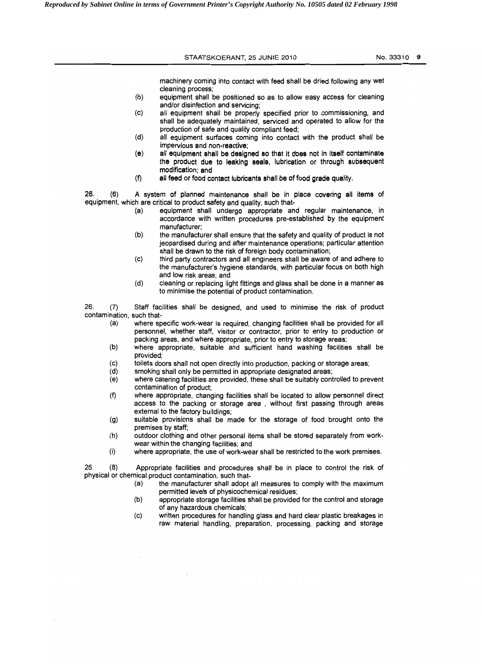|                                         | STAATSKOERANT, 25 JUNIE 2010                                                                                                                                                                                                                      | No. 33310 9 |
|-----------------------------------------|---------------------------------------------------------------------------------------------------------------------------------------------------------------------------------------------------------------------------------------------------|-------------|
|                                         | machinery coming into contact with feed shall be dried following any wet                                                                                                                                                                          |             |
|                                         | cleaning process;<br>(b)<br>equipment shall be positioned so as to allow easy access for cleaning<br>and/or disinfection and servicing;                                                                                                           |             |
|                                         | all equipment shall be properly specified prior to commissioning, and<br>(c)<br>shall be adequately maintained, serviced and operated to allow for the                                                                                            |             |
|                                         | production of safe and quality compliant feed;<br>(d)<br>all equipment surfaces coming into contact with the product shall be                                                                                                                     |             |
|                                         | impervious and non-reactive;<br>all equipment shall be designed so that it does not in itself contaminate<br>(e)<br>the product due to leaking seals, lubrication or through subsequent<br>modification; and                                      |             |
|                                         | (f)<br>all feed or food contact lubricants shall be of food grade quality.                                                                                                                                                                        |             |
| 26.<br>(6)                              | A system of planned maintenance shall be in place covering all items of<br>equipment, which are critical to product safety and quality, such that-                                                                                                |             |
|                                         | equipment shall undergo appropriate and regular maintenance, in<br>(a)<br>accordance with written procedures pre-established by the equipment<br>manufacturer;                                                                                    |             |
|                                         | (b)<br>the manufacturer shall ensure that the safety and quality of product is not<br>jeopardised during and after maintenance operations; particular attention<br>shall be drawn to the risk of foreign body contamination;                      |             |
|                                         | third party contractors and all engineers shall be aware of and adhere to<br>(c)<br>the manufacturer's hygiene standards, with particular focus on both high<br>and low risk areas; and                                                           |             |
|                                         | (d)<br>cleaning or replacing light fittings and glass shall be done in a manner as<br>to minimise the potential of product contamination.                                                                                                         |             |
| 26.<br>(7)<br>contamination, such that- | Staff facilities shall be designed, and used to minimise the risk of product                                                                                                                                                                      |             |
| (a)                                     | where specific work-wear is required, changing facilities shall be provided for all<br>personnel, whether staff, visitor or contractor, prior to entry to production or<br>packing areas, and where appropriate, prior to entry to storage areas; |             |
| (b)                                     | where appropriate, suitable and sufficient hand washing facilities shall be<br>provided;                                                                                                                                                          |             |
| (c)<br>(d)                              | toilets doors shall not open directly into production, packing or storage areas;<br>smoking shall only be permitted in appropriate designated areas;                                                                                              |             |
| (e)                                     | where catering facilities are provided, these shall be suitably controlled to prevent<br>contamination of product;                                                                                                                                |             |
| (f)                                     | where appropriate, changing facilities shall be located to allow personnel direct<br>access to the packing or storage area, without first passing through areas<br>external to the factory buildings;                                             |             |
| (g)                                     | suitable provisions shall be made for the storage of food brought onto the<br>premises by staff;                                                                                                                                                  |             |
| (h)                                     | outdoor clothing and other personal items shall be stored separately from work-<br>wear within the changing facilities; and                                                                                                                       |             |
| (i)                                     | where appropriate, the use of work-wear shall be restricted to the work premises.                                                                                                                                                                 |             |
| 26.<br>(8)                              | Appropriate facilities and procedures shall be in place to control the risk of<br>physical or chemical product contamination, such that-                                                                                                          |             |
|                                         | the manufacturer shall adopt all measures to comply with the maximum<br>(a)<br>permitted levels of physicochemical residues;                                                                                                                      |             |
|                                         | appropriate storage facilities shall be provided for the control and storage<br>(b)                                                                                                                                                               |             |
|                                         | of any hazardous chemicals;<br>written procedures for handling glass and hard clear plastic breakages in<br>(c)                                                                                                                                   |             |

 $\mathcal{L}_{\mathcal{L}}$ 

 $\hat{\mathcal{L}}$ 

 $\mathcal{L}^{\text{max}}_{\text{max}}$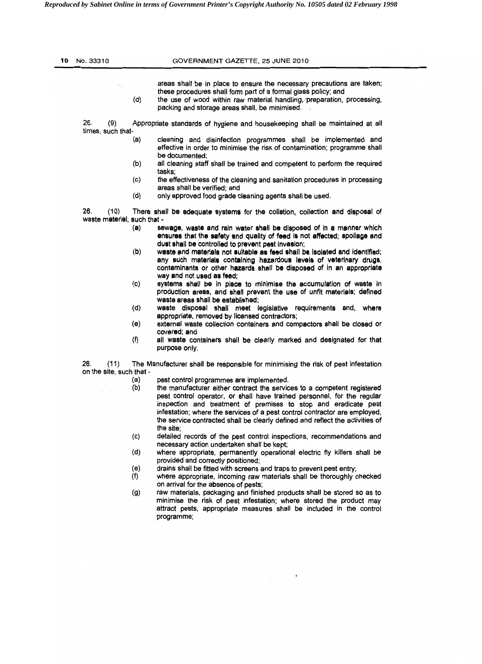| 10. | No. 33310                                  | GOVERNMENT GAZETTE, 25 JUNE 2010                                                                                                                                                                                                                                                                                                                                                                  |  |
|-----|--------------------------------------------|---------------------------------------------------------------------------------------------------------------------------------------------------------------------------------------------------------------------------------------------------------------------------------------------------------------------------------------------------------------------------------------------------|--|
|     |                                            |                                                                                                                                                                                                                                                                                                                                                                                                   |  |
|     | $\Phi_{\rm{max}}$<br>(d)                   | areas shall be in place to ensure the necessary precautions are taken;<br>these procedures shall form part of a formal glass policy; and<br>the use of wood within raw material handling, preparation, processing,<br>packing and storage areas shall, be minimised.                                                                                                                              |  |
|     | 26.<br>(9)<br>times, such that-            | Appropriate standards of hygiene and housekeeping shall be maintained at all                                                                                                                                                                                                                                                                                                                      |  |
|     | (a)                                        | cleaning and disinfection programmes shall be implemented and<br>effective in order to minimise the risk of contamination; programme shall<br>be documented:                                                                                                                                                                                                                                      |  |
|     | (b)                                        | all cleaning staff shall be trained and competent to perform the required<br>tasks;                                                                                                                                                                                                                                                                                                               |  |
|     | (c)                                        | the effectiveness of the cleaning and sanitation procedures in processing<br>areas shall be verified; and                                                                                                                                                                                                                                                                                         |  |
|     | (d)                                        | only approved food grade cleaning agents shall be used.                                                                                                                                                                                                                                                                                                                                           |  |
|     | 26.<br>(10)<br>waste material, such that - | There shall be adequate systems for the collation, collection and disposal of                                                                                                                                                                                                                                                                                                                     |  |
|     | (a)                                        | sewage, waste and rain water shall be disposed of in a manner which<br>ensures that the safety and quality of feed is not affected; spoilage and<br>dust shall be controlled to prevent pest invasion;                                                                                                                                                                                            |  |
|     | (b)                                        | waste and materials not sultable as feed shall be isolated and identified;<br>any such materials containing hazardous levels of veterinary drugs,<br>contaminants or other hazards shall be disposed of in an appropriate<br>way and not used as feed;                                                                                                                                            |  |
|     | (c)                                        | systems shall be in place to minimise the accumulation of waste in<br>production areas, and shall prevent the use of unfit materials; defined<br>waste areas shall be established;                                                                                                                                                                                                                |  |
|     | (d)                                        | waste disposal shall meet legislative requirements and, where<br>appropriate, removed by licensed contractors;                                                                                                                                                                                                                                                                                    |  |
|     | (e)<br>(f)                                 | external waste collection containers and compactors shall be closed or<br>covered; and<br>all waste containers shall be clearly marked and designated for that                                                                                                                                                                                                                                    |  |
|     |                                            | purpose only.                                                                                                                                                                                                                                                                                                                                                                                     |  |
|     | 26.<br>(11)<br>on the site, such that -    | The Manufacturer shall be responsible for minimising the risk of pest infestation                                                                                                                                                                                                                                                                                                                 |  |
|     | (a)                                        | pest control programmes are implemented.                                                                                                                                                                                                                                                                                                                                                          |  |
|     | (b)                                        | the manufacturer either contract the services to a competent registered<br>pest control operator, or shall have trained personnel, for the regular<br>inspection and treatment of premises to stop and eradicate pest<br>infestation; where the services of a pest control contractor are employed,<br>the service contracted shall be clearly defined and reflect the activities of<br>the site; |  |
|     | (c)                                        | detailed records of the pest control inspections, recommendations and<br>necessary action undertaken shall be kept;                                                                                                                                                                                                                                                                               |  |
|     | (d)                                        | where appropriate, permanently operational electric fly killers shall be<br>provided and correctly positioned;                                                                                                                                                                                                                                                                                    |  |
|     | (e)<br>(f)                                 | drains shall be fitted with screens and traps to prevent pest entry;<br>where appropriate, incoming raw materials shall be thoroughly checked                                                                                                                                                                                                                                                     |  |
|     | (g)                                        | on arrival for the absence of pests;<br>raw materials, packaging and finished products shall be stored so as to<br>minimise the risk of pest infestation; where stored the product may<br>attract pests, appropriate measures shall be included in the control<br>programme;                                                                                                                      |  |
|     |                                            |                                                                                                                                                                                                                                                                                                                                                                                                   |  |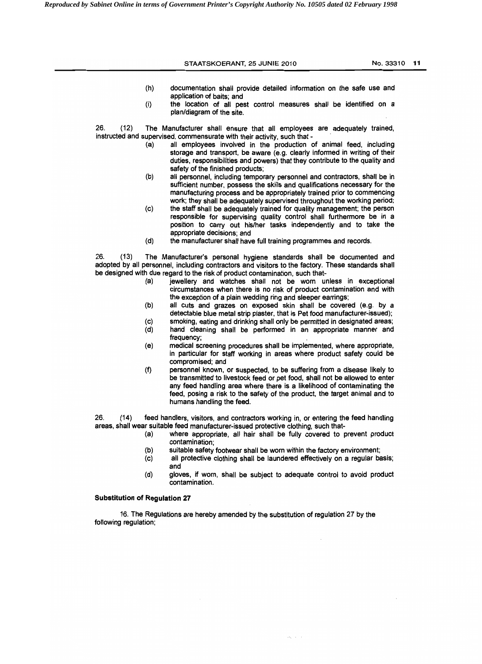|             | STAATSKOERANT, 25 JUNIE 2010                                                                                                                                                                                                                                                                                                                            | No. 33310 11 |  |
|-------------|---------------------------------------------------------------------------------------------------------------------------------------------------------------------------------------------------------------------------------------------------------------------------------------------------------------------------------------------------------|--------------|--|
|             | (h)<br>documentation shall provide detailed information on the safe use and                                                                                                                                                                                                                                                                             |              |  |
|             | application of baits; and<br>the location of all pest control measures shall be identified on a<br>(i)<br>plan/diagram of the site.                                                                                                                                                                                                                     |              |  |
| 26.<br>(12) | The Manufacturer shall ensure that all employees are adequately trained,                                                                                                                                                                                                                                                                                |              |  |
|             | instructed and supervised, commensurate with their activity, such that -<br>all employees involved in the production of animal feed, including<br>(a)<br>storage and transport, be aware (e.g. clearly informed in writing of their<br>duties, responsibilities and powers) that they contribute to the quality and<br>safety of the finished products; |              |  |
|             | (b)<br>all personnel, including temporary personnel and contractors, shall be in<br>sufficient number, possess the skills and qualifications necessary for the<br>manufacturing process and be appropriately trained prior to commencing<br>work; they shall be adequately supervised throughout the working period;                                    |              |  |
|             | the staff shall be adequately trained for quality management; the person<br>(c)<br>responsible for supervising quality control shall furthermore be in a<br>position to carry out his/her tasks independently and to take the<br>appropriate decisions; and                                                                                             |              |  |
|             | (d)<br>the manufacturer shall have full training programmes and records.                                                                                                                                                                                                                                                                                |              |  |
| 26.<br>(13) | The Manufacturer's personal hygiene standards shall be documented and<br>adopted by all personnel, including contractors and visitors to the factory. These standards shall<br>be designed with due regard to the risk of product contamination, such that-<br>jewellery and watches shall not be worn unless in exceptional<br>(a)                     |              |  |
|             | circumstances when there is no risk of product contamination and with<br>the exception of a plain wedding ring and sleeper earrings;<br>all cuts and grazes on exposed skin shall be covered (e.g. by a<br>(b)                                                                                                                                          |              |  |
|             | detectable blue metal strip plaster, that is Pet food manufacturer-issued);<br>smoking, eating and drinking shall only be permitted in designated areas;<br>(c)                                                                                                                                                                                         |              |  |
|             | hand cleaning shall be performed in an appropriate manner and<br>(d)<br>frequency;                                                                                                                                                                                                                                                                      |              |  |
|             | (e)<br>medical screening procedures shall be implemented, where appropriate,<br>in particular for staff working in areas where product safety could be<br>compromised; and                                                                                                                                                                              |              |  |
|             | (f)<br>personnel known, or suspected, to be suffering from a disease likely to<br>be transmitted to livestock feed or pet food, shall not be allowed to enter<br>any feed handling area where there is a likelihood of contaminating the<br>feed, posing a risk to the safety of the product, the target animal and to<br>humans handling the feed.     |              |  |
| 26.<br>(14) | feed handlers, visitors, and contractors working in or entering the feed handling                                                                                                                                                                                                                                                                       |              |  |

26. (14) feed handlers, visitors, and contractors working in, or entering the feed handling areas, shall wear suitable feed manufacturer-issued protective clothing, such that

- (a) where appropriate, all hair shall be fully covered to prevent product contamination;
- (b) suitable safety footwear shall be worn within the factory environment;
- (c) all protective clothing shall be laundered effectively on a regular basis; and
- (d) gloves, if worn, shall be subject to adequate control to avoid product contamination.

 $\zeta\bar{\chi}^{\pm}$  ,  $\bar{\zeta}^{\pm}$  ,

# Substitution of Regulation 27

16. The Regulations are hereby amended by the substitution of regulation 27 by the following regulation;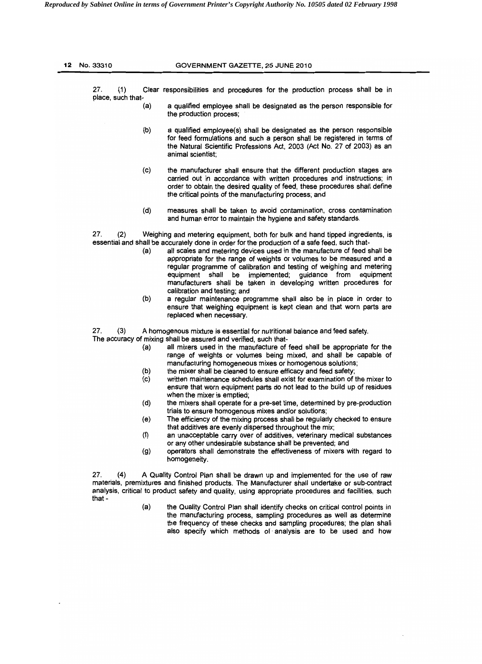| 27.<br>(1)           |     | Clear responsibilities and procedures for the production process shall be in                                                                                                                                                                                                                                                                                                                                                                                                               |
|----------------------|-----|--------------------------------------------------------------------------------------------------------------------------------------------------------------------------------------------------------------------------------------------------------------------------------------------------------------------------------------------------------------------------------------------------------------------------------------------------------------------------------------------|
| place, such that-    | (a) | a qualified employee shall be designated as the person responsible for<br>the production process;                                                                                                                                                                                                                                                                                                                                                                                          |
|                      |     |                                                                                                                                                                                                                                                                                                                                                                                                                                                                                            |
|                      | (b) | a qualified employee(s) shall be designated as the person responsible<br>for feed formulations and such a person shall be registered in terms of<br>the Natural Scientific Professions Act, 2003 (Act No. 27 of 2003) as an<br>animal scientist;                                                                                                                                                                                                                                           |
|                      | (c) | the manufacturer shall ensure that the different production stages are<br>carried out in accordance with written procedures and instructions; in<br>order to obtain the desired quality of feed, these procedures shall define<br>the critical points of the manufacturing process; and                                                                                                                                                                                                    |
|                      | (d) | measures shall be taken to avoid contamination, cross contamination<br>and human error to maintain the hygiene and safety standards.                                                                                                                                                                                                                                                                                                                                                       |
| 27.<br>(2)           |     | Weighing and metering equipment, both for bulk and hand tipped ingredients, is                                                                                                                                                                                                                                                                                                                                                                                                             |
|                      | (a) | essential and shall be accurately done in order for the production of a safe feed, such that-<br>all scales and metering devices used in the manufacture of feed shall be<br>appropriate for the range of weights or volumes to be measured and a<br>regular programme of calibration and testing of weighing and metering<br>equipment shall be implemented; guidance from equipment<br>manufacturers shall be taken in developing written procedures for<br>calibration and testing; and |
|                      | (b) | a regular maintenance programme shall also be in place in order to<br>ensure that weighing equipment is kept clean and that worn parts are<br>replaced when necessary.                                                                                                                                                                                                                                                                                                                     |
| 27.<br>(3)           |     | A homogenous mixture is essential for nutritional balance and feed safety.                                                                                                                                                                                                                                                                                                                                                                                                                 |
|                      | (a) | The accuracy of mixing shall be assured and verified, such that-<br>all mixers used in the manufacture of feed shall be appropriate for the<br>range of weights or volumes being mixed, and shall be capable of<br>manufacturing homogeneous mixes or homogenous solutions;                                                                                                                                                                                                                |
|                      | (b) | the mixer shall be cleaned to ensure efficacy and feed safety;                                                                                                                                                                                                                                                                                                                                                                                                                             |
|                      | (c) | written maintenance schedules shall exist for examination of the mixer to<br>ensure that worn equipment parts do not lead to the build up of residues<br>when the mixer is emptied;                                                                                                                                                                                                                                                                                                        |
|                      | (d) | the mixers shall operate for a pre-set time, determined by pre-production<br>trials to ensure homogenous mixes and/or solutions;                                                                                                                                                                                                                                                                                                                                                           |
|                      | (e) | The efficiency of the mixing process shall be regularly checked to ensure<br>that additives are evenly dispersed throughout the mix;                                                                                                                                                                                                                                                                                                                                                       |
|                      | (f) | an unacceptable carry over of additives, veterinary medical substances<br>or any other undesirable substance shall be prevented; and                                                                                                                                                                                                                                                                                                                                                       |
|                      | (g) | operators shall demonstrate the effectiveness of mixers with regard to<br>homogeneity.                                                                                                                                                                                                                                                                                                                                                                                                     |
| 27.<br>(4)<br>that - |     | A Quality Control Plan shall be drawn up and implemented for the use of raw<br>materials, premixtures and finished products. The Manufacturer shall undertake or sub-contract<br>analysis, critical to product safety and quality, using appropriate procedures and facilities, such                                                                                                                                                                                                       |
|                      | (a) | the Quality Control Plan shall identify checks on critical control points in<br>the manufacturing process, sampling procedures as well as determine<br>the frequency of these checks and sampling procedures; the plan shall<br>also specify which methods of analysis are to be used and how                                                                                                                                                                                              |
|                      |     |                                                                                                                                                                                                                                                                                                                                                                                                                                                                                            |

 $\mathcal{L}$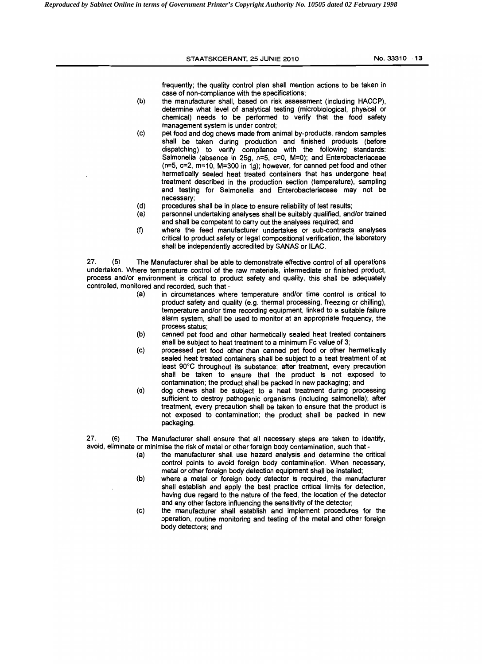|            | STAATSKOERANT, 25 JUNIE 2010                                                                                                                                                                                  | No. 33310 13 |
|------------|---------------------------------------------------------------------------------------------------------------------------------------------------------------------------------------------------------------|--------------|
|            | frequently; the quality control plan shall mention actions to be taken in                                                                                                                                     |              |
| (b)        | case of non-compliance with the specifications;<br>the manufacturer shall, based on risk assessment (including HACCP),                                                                                        |              |
|            | determine what level of analytical testing (microbiological, physical or<br>chemical) needs to be performed to verify that the food safety                                                                    |              |
| (c)        | management system is under control;<br>pet food and dog chews made from animal by-products, random samples                                                                                                    |              |
|            | shall be taken during production and finished products (before<br>dispatching) to verify compliance with the following standards:<br>Salmonella (absence in 25g, $n=5$ , $c=0$ , M=0); and Enterobacteriaceae |              |
|            | $(n=5, c=2, m=10, M=300$ in 1g); however, for canned pet food and other<br>hermetically sealed heat treated containers that has undergone heat                                                                |              |
|            | treatment described in the production section (temperature), sampling<br>and testing for Salmonella and Enterobacteriaceae may not be<br>necessary:                                                           |              |
| (d)        | procedures shall be in place to ensure reliability of test results;                                                                                                                                           |              |
| (e)        | personnel undertaking analyses shall be suitably qualified, and/or trained<br>and shall be competent to carry out the analyses required; and                                                                  |              |
| (f)        | where the feed manufacturer undertakes or sub-contracts analyses                                                                                                                                              |              |
|            | critical to product safety or legal compositional verification, the laboratory<br>shall be independently accredited by SANAS or ILAC.                                                                         |              |
| 27.<br>(5) | The Manufacturer shall be able to demonstrate effective control of all operations<br>undertaken. Where temperature control of the raw materials, intermediate or finished product,                            |              |
|            | process and/or environment is critical to product safety and quality, this shall be adequately<br>controlled, monitored and recorded, such that -                                                             |              |
| (a)        | in circumstances where temperature and/or time control is critical to                                                                                                                                         |              |
|            | product safety and quality (e.g. thermal processing, freezing or chilling),<br>temperature and/or time recording equipment, linked to a suitable failure                                                      |              |
|            | alarm system, shall be used to monitor at an appropriate frequency, the<br>process status;                                                                                                                    |              |
| (b)        | canned pet food and other hermetically sealed heat treated containers                                                                                                                                         |              |
|            | shall be subject to heat treatment to a minimum Fc value of 3;                                                                                                                                                |              |

- (c) processed pet food other than canned pet food or other hermetically sealed heat treated containers shall be subject to a heat treatment of at least 90°C throughout its substance; after treatment, every precaution shall be taken to ensure that the product is not exposed to contamination; the product shall be packed in new packaging; and
- (d) dog chews shall be subject to a heat treatment during processing sufficient to destroy pathogenic organisms (including salmonella); after treatment. every precaution shall be taken to ensure that the product is not exposed to contamination; the product shall be packed in new packaging.

27. (6) The Manufacturer shall ensure that all necessary steps are taken to identify, avoid, eliminate or minimise the risk of metal or other foreign body contamination, such that -

- (a) the manufacturer shall use hazard analysis and determine the critical control points to avoid foreign body contamination. When necessary. metal or other foreign body detection equipment shall be installed;
- (b) where a metal or foreign body detector is required, the manufacturer shall establish and apply the best practice critical limits for detection, having due regard to the nature of the feed. the location of the detector and any other factors influencing the sensitivity of the detector;
- (c) the manufacturer shall establish and implement procedures for the operation. routine monitoring and testing of the metal and other foreign body detectors; and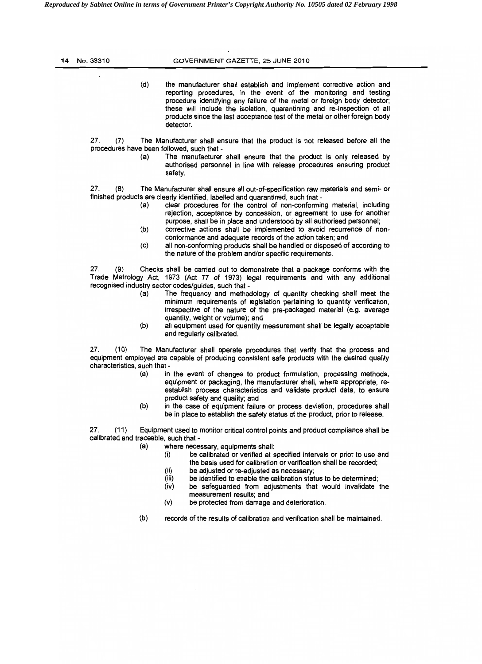*Reproduced by Sabinet Online in terms of Government Printer's Copyright Authority No. 10505 dated 02 February 1998* 

| 14 No. 33310                                | GOVERNMENT GAZETTE, 25 JUNE 2010                                                                                                                                                                                                                                                                                                                                                                                                                                                                                                                                                                                                                                                                 |
|---------------------------------------------|--------------------------------------------------------------------------------------------------------------------------------------------------------------------------------------------------------------------------------------------------------------------------------------------------------------------------------------------------------------------------------------------------------------------------------------------------------------------------------------------------------------------------------------------------------------------------------------------------------------------------------------------------------------------------------------------------|
|                                             | (d)<br>the manufacturer shall establish and implement corrective action and<br>reporting procedures, in the event of the monitoring and testing<br>procedure identifying any failure of the metal or foreign body detector;<br>these will include the isolation, quarantining and re-inspection of all<br>products since the last acceptance test of the metal or other foreign body<br>detector.                                                                                                                                                                                                                                                                                                |
| 27.<br>(7)                                  | The Manufacturer shall ensure that the product is not released before all the<br>procedures have been followed, such that -<br>(a)<br>The manufacturer shall ensure that the product is only released by<br>authorised personnel in line with release procedures ensuring product<br>safety.                                                                                                                                                                                                                                                                                                                                                                                                     |
| 27.<br>(8)                                  | The Manufacturer shall ensure all out-of-specification raw materials and semi- or<br>finished products are clearly identified, labelled and quarantined, such that -<br>(a)<br>clear procedures for the control of non-conforming material, including<br>rejection, acceptance by concession, or agreement to use for another<br>purpose, shall be in place and understood by all authorised personnel;<br>(b)<br>corrective actions shall be implemented to avoid recurrence of non-<br>conformance and adequate records of the action taken; and<br>(c)<br>all non-conforming products shall be handled or disposed of according to<br>the nature of the problem and/or specific requirements. |
| 27.<br>(9)                                  | Checks shall be carried out to demonstrate that a package conforms with the<br>Trade Metrology Act, 1973 (Act 77 of 1973) legal requirements and with any additional<br>recognised industry sector codes/guides, such that -<br>The frequency and methodology of quantity checking shall meet the<br>(a)<br>minimum requirements of legislation pertaining to quantity verification,<br>irrespective of the nature of the pre-packaged material (e.g. average<br>quantity, weight or volume); and<br>(b)<br>all equipment used for quantity measurement shall be legally acceptable<br>and regularly calibrated.                                                                                 |
| 27.<br>(10)<br>characteristics, such that - | The Manufacturer shall operate procedures that verify that the process and<br>equipment employed are capable of producing consistent safe products with the desired quality<br>in the event of changes to product formulation, processing methods,<br>(a)<br>equipment or packaging, the manufacturer shall, where appropriate, re-<br>establish process characteristics and validate product data, to ensure<br>product safety and quality; and                                                                                                                                                                                                                                                 |
| 27.<br>(11)                                 | (b)<br>in the case of equipment failure or process deviation, procedures shall<br>be in place to establish the safety status of the product, prior to release.<br>Equipment used to monitor critical control points and product compliance shall be<br>calibrated and traceable, such that -                                                                                                                                                                                                                                                                                                                                                                                                     |
|                                             | (a)<br>where necessary, equipments shall:<br>be calibrated or verified at specified intervals or prior to use and<br>(i)<br>the basis used for calibration or verification shall be recorded;<br>(ii)<br>be adjusted or re-adjusted as necessary;<br>(iii)<br>be identified to enable the calibration status to be determined;<br>(iv)<br>be safeguarded from adjustments that would invalidate the<br>measurement results; and<br>(v)<br>be protected from damage and deterioration.                                                                                                                                                                                                            |
|                                             | (b)<br>records of the results of calibration and verification shall be maintained.                                                                                                                                                                                                                                                                                                                                                                                                                                                                                                                                                                                                               |
|                                             |                                                                                                                                                                                                                                                                                                                                                                                                                                                                                                                                                                                                                                                                                                  |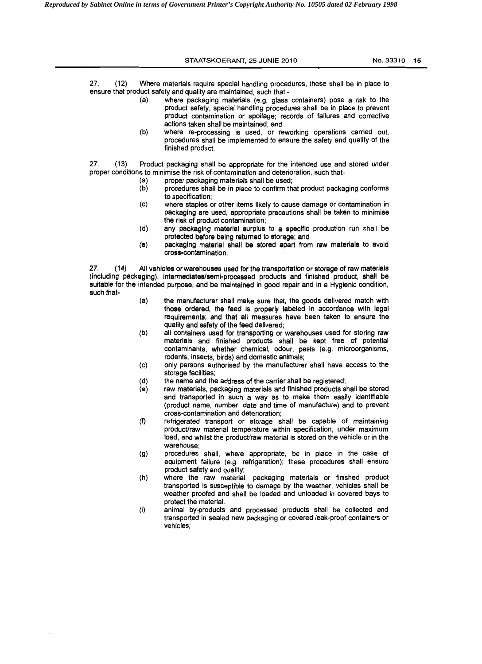STAATSKOERANT, 25 JUNIE 2010 **No. 33310 15** 27. (12) Where materials require special handling procedures, these shall be in place to ensure that product safety and quality are maintained, such that -(a) where packaging materials (e.g. glass containers) pose a risk to the product safety, special handling procedures shall be in place to prevent product contamination or spoilage; records of failures and corrective actions taken shall be maintained; and (b) where re-processing is used, or reworking operations carried out, procedures shall be implemented to ensure the safety and quality of the finished product. 27. (13) Product packaging shall be appropriate for the intended use and stored under proper conditions to minimise the risk of contamination and deterioration, such that

- 
- (a) proper packaging materials shall be used;<br>(b) procedures shall be in place to confirm tha procedures shall be in place to confirm that product packaging conforms to specification;
- (c) where staples or other items likely to cause damage or contamination in packaging are used, appropriate precautions shall be taken to minimise the risk of product contamination;
- (d) any packaging material surplus to a specific production run shall be protected before being retumed to storage; and
- (e) packaging material shall be stored apart from raw materials to avoid cross-contamination.

27. (14) All vehicles or warehouses used for the transportation or storage of raw materials (including packaging), intermediates/semi-processed products and finished product, shall be suitable for the intended purpose, and be maintained in good repair and in a Hygienic condition, such that-

- (a) the manufacturer shall make sure that, the goods delivered match with those ordered, the feed is properly labeled in accordance with legal requirements; and that all measures have been taken to ensure the quality and safety of the feed delivered;
- (b) all containers used for transporting or warehouses used for storing raw materials and finished products shall be kept free of potential contaminants, whether chemical, odour, pests (e.g. microorganisms, rodents, insects, birds) and domestic animals;
- (c) only persons authorised by the manufacturer shall have access to the storage facilities;
- (d) the name and the address of the carrier shall be registered;
- (e) raw materials, packaging materials and finished products shall be stored and transported in such a way as to make them easily identifiable (product name, number, date and time of manufacture) and to prevent cross-contamination and deterioration;
- (f) refrigerated transport or storage shall be capable of maintaining product/raw material temperature within specification, under maximum load, and whilst the product/raw material is stored on the vehicle or in the warehouse;
- (g) procedures shall, where appropriate, be in place in the case of equipment failure (e.g. refrigeration); these procedures shall ensure product safety and quality;
- (h) where the raw material, packaging materials or finished product transported is susceptible to damage by the weather, vehicles shall be weather proofed and shall be loaded and unloaded in covered bays to protect the material.
- (i) animal by-products and processed products shall be collected and transported in sealed new packaging or covered leak-proof containers or vehicles;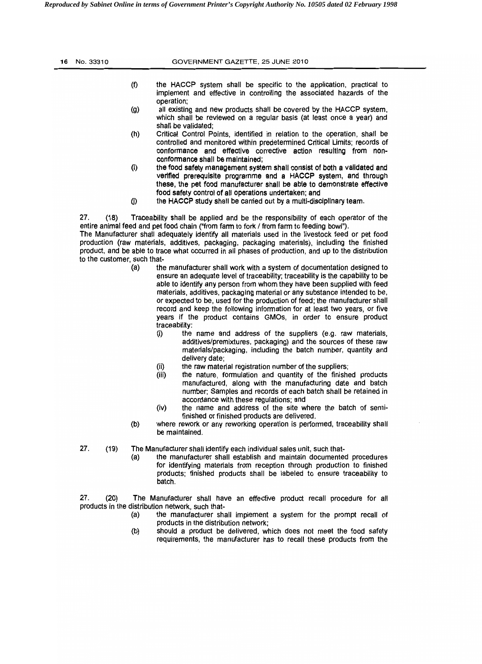| 16 No. 33310 | GOVERNMENT GAZETTE, 25 JUNE 2010                                                                                                                                                                                                                                                                               |  |  |
|--------------|----------------------------------------------------------------------------------------------------------------------------------------------------------------------------------------------------------------------------------------------------------------------------------------------------------------|--|--|
|              | (f)<br>the HACCP system shall be specific to the application, practical to<br>implement and effective in controlling the associated hazards of the<br>operation;                                                                                                                                               |  |  |
|              | (g)<br>all existing and new products shall be covered by the HACCP system,<br>which shall be reviewed on a regular basis (at least once a year) and<br>shall be validated:                                                                                                                                     |  |  |
|              | (h)<br>Critical Control Points, identified in relation to the operation, shall be<br>controlled and monitored within predetermined Critical Limits; records of<br>conformance and effective corrective action resulting from non-<br>conformance shall be maintained;                                          |  |  |
|              | (i)<br>the food safety management system shall consist of both a validated and<br>verified prerequisite programme and a HACCP system, and through<br>these, the pet food manufacturer shall be able to demonstrate effective<br>for and profesive production for the constitution of the constant and constant |  |  |

food safety control of all operations undertaken; and  $(i)$ the HACCP study shall be carried out by a multi-disciplinary team.

27. (18) Traceability shall be applied and be the responsibility of each operator of the entire animal feed and pet food chain ("from farm to fork / from farm to feeding bowl").

The Manufacturer shall adequately identify all materials used in the livestock feed or pet food production (raw materials, additives, packaging, packaging materials), including the finished product, and be able to trace what occurred in all phases of production, and up to the distribution to the customer, such that

- (a) the manufacturer shall work with a system of documentation designed to ensure an adequate level of traceability; traceability is the capability to be able to identify any person from whom they have been supplied with feed materials, additives, packaging material or any substance intended to be, or expected to be, used for the production of feed; the manufacturer shall record and keep the following information for at least two years, or five years if the product contains GMOs, in order to ensure product traceability:
	- (i) the name and address of the suppliers (e.g. raw materials, additives/premixtures, packaging) and the sources of these raw materials/packaging, induding the batch number, quantity and delivery date;
	- (ii)  $\qquad$  the raw material registration number of the suppliers;<br>(iii)  $\qquad$  the nature, formulation and quantity of the finish
	- the nature, formulation and quantity of the finished products manufactured, along with the manufacturing date and batch number; Samples and records of each batch shall be retained in accordance with these regulations; and
	- (iv) the name and address of the site where the batch of semifinished or finished products are delivered.
- (b) where rework or any reworking operation is performed, traceability shall be maintained.
- 27. (19) The Manufacturer shall identify each individual sales unit, such that-
	- (a) the manufacturer shall establish and maintain documented procedures for identifying materials from reception through production to finished products; finished products shall be labeled to ensure traceability to batch.

27. (20) The Manufacturer shall have an effective product recall procedure for all products in the distribution network, such that

- (a) the manufacturer shall implement a system for the prompt recall of products in the distribution network;
- (b) should a product be delivered, which does not meet the food safety reqUirements, the manufacturer has to recall these products from the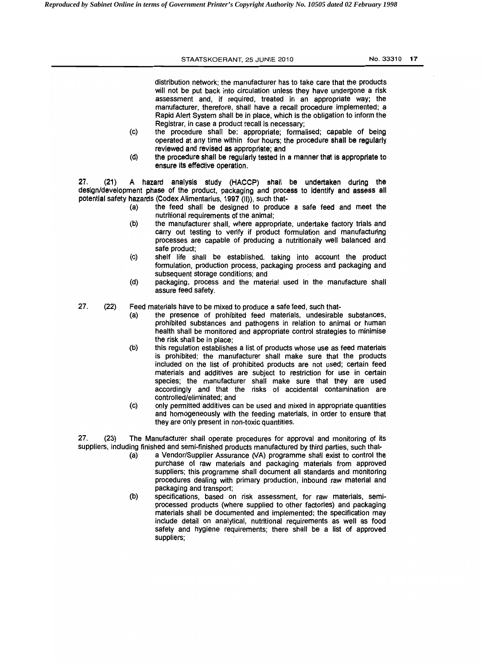# STAATSKOERANT, 25 JUNIE 2010 **No. 33310 17**

distribution network; the manufacturer has to take care that the products will not be put back into circulation unless they have undergone a risk assessment and, if required, treated in an appropriate way; the manufacturer, therefore, shall have a recall procedure implemented; a Rapid Alert System shall be in place, which is the obligation to inform the Registrar, in case a product recall is necessary;

- (c) the procedure shall be: appropriate; formalised; capable of being operated at any time within four hours; the procedure shall be regularly reviewed and revised as appropriate; and
- (d) the procedure shall be regularly tested In a manner that Is appropriate to ensure its effective operation.

27. (21) A hazard analysis study (HACCP) shall be undertaken during the design/development phase of the product, packaging and process to identify and assess all potential safety hazards (Codex Alimentarius, 1997 (II)), such that-

- (a) the feed shall be designed to produce a safe feed and meet the nutritional requirements of the animal;
- (b) the manufacturer shall, where appropriate, undertake factory trials and carry out testing to verify if product formulation and manufacturing processes are capable of producing a nutritionally well balanced and safe product;
- (c) shelf life shall be established, taking into account the product formulation, production process, packaging process and packaging and subsequent storage conditions; and
- (d) packaging, process and the material used in the manufacture shall assure feed safety.
- 27. (22) Feed materials have to be mixed to produce a safe feed, such that-
	- (a) the presence of prohibited feed materials, undesirable substances, prohibited substances and pathogens in relation to animal or human health shall be monitored and appropriate control strategies to minimise the risk shall be in place;
	- (b) this regulation establishes a list of products whose use as feed materials is prohibited; the manufacturer shall make sure that the products included on the list of prohibited products are not used; certain feed materials and additives are subject to restriction for use in certain species; the manufacturer shall make sure that they are used accordingly and that the risks of accidental contamination are controlled/eliminated; and
	- (c) only permitted additives can be used and mixed in appropriate quantities and homogeneously with the feeding materials, in order to ensure that they are only present in non-toxic quantities.

27. (23) The Manufacturer shall operate procedures for approval and monitoring of its suppliers, including finished and semi-finished products manufactured by third parties, such that

- (a) a Vendor/Supplier Assurance (VA) programme shall exist to control the purchase of raw materials and packaging materials from approved suppliers; this programme shall document all standards and monitoring procedures dealing with primary production, inbound raw material and packaging and transport;
- (b) specifications, based on risk assessment, for raw materials, semiprocessed products (where supplied to other factories) and packaging materials shall be documented and implemented; the specification may include detail on analytical, nutritional requirements as well as food safety and hygiene requirements; there shall be a list of approved suppliers;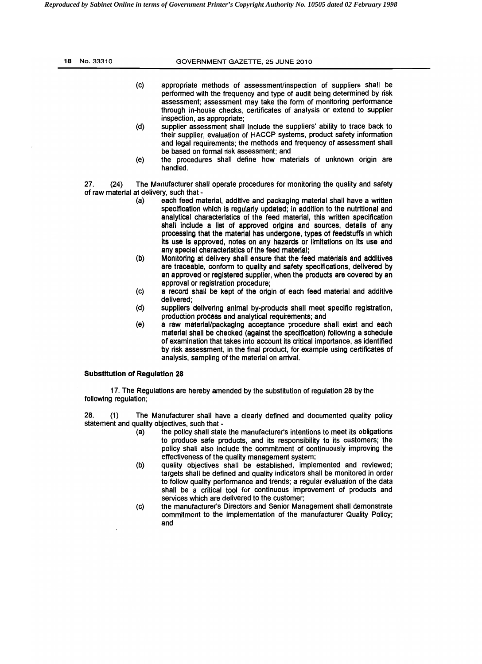| 18 | No. 33310   | GOVERNMENT GAZETTE, 25 JUNE 2010                                                                                                                                                                                                                                                                                                               |
|----|-------------|------------------------------------------------------------------------------------------------------------------------------------------------------------------------------------------------------------------------------------------------------------------------------------------------------------------------------------------------|
|    |             | (c)<br>appropriate methods of assessment/inspection of suppliers shall be<br>performed with the frequency and type of audit being determined by risk<br>assessment; assessment may take the form of monitoring performance                                                                                                                     |
|    |             | through in-house checks, certificates of analysis or extend to supplier<br>inspection, as appropriate;<br>(d)<br>supplier assessment shall include the suppliers' ability to trace back to<br>their supplier, evaluation of HACCP systems, product safety information<br>and legal requirements; the methods and frequency of assessment shall |
|    |             | be based on formal risk assessment; and<br>the procedures shall define how materials of unknown origin are<br>(e)<br>handled.                                                                                                                                                                                                                  |
|    | 27.<br>(24) | The Manufacturer shall operate procedures for monitoring the quality and safety<br>of raw material at delivery, such that -<br>each feed material, additive and packaging material shall have a written<br>(a)<br>specification which is regularly updated; in addition to the nutritional and                                                 |
|    |             | analytical characteristics of the feed material, this written specification<br>shall include a list of approved origins and sources, details of any<br>processing that the material has undergone, types of feedstuffs in which<br>Its use is approved, notes on any hazards or limitations on its use and                                     |
|    |             | any special characteristics of the feed material;<br>Monitoring at delivery shall ensure that the feed materials and additives<br>(b)<br>are traceable, conform to quality and safety specifications, delivered by                                                                                                                             |

- an approved or registered supplier, when the products are covered by an approval or registration procedure;
- (c) a record shall be kept of the origin of each feed material and additive delivered;
- (d) suppliers delivering animal by-products shall meet specific registration, production process and analytical requirements; and
- (e) a raw material/packaging acceptance procedure shall exist and each material shall be checked (against the specification) following a schedule of examination that takes into account Its critical importance, as identified by risk assessment, in the final product, for example using certificates of analYSiS, sampling of the material on arrival.

# Substitution of Regulation **28**

17. The Regulations are hereby amended by the substitution of regulation 28 by the following regulation;

28. (1) The Manufacturer shall have a clearly defined and documented quality policy statement and quality objectives, such that -

- $(a)$  the policy shall state the manufacturer's intentions to meet its obligations to produce safe products, and its responsibility to its customers; the policy shall also include the commitment of continuously improving the effectiveness of the quality management system;
- (b) quality objectives shall be established, implemented and reviewed; targets shall be defined and quality indicators shall be monitored in order to follow quality performance and trends; a regular evaluation of the data shall be a critical tool for continuous improvement of products and services which are delivered to the customer;
- (c) the manufacturer's Directors and Senior Management shall demonstrate commitment to the implementation of the manufacturer Quality Policy; and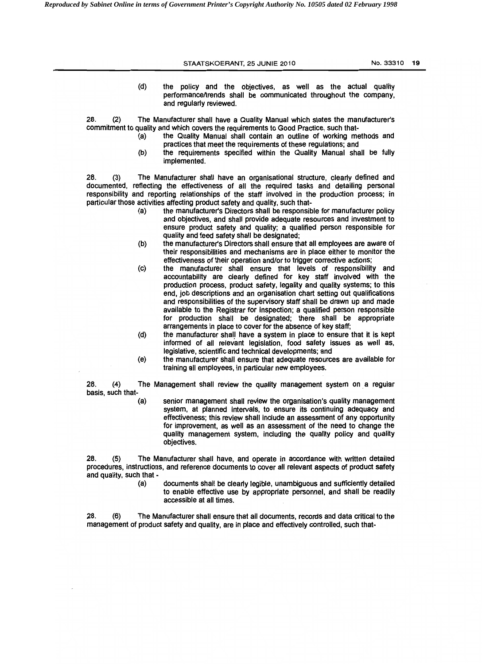STAATSKOERANT, 25 JUNIE 2010 **No. 33310 19** (d) the policy and the objectives, as well as the actual quality performanceltrends shall be communicated throughout the company, and regularly reviewed. 28. (2) The Manufacturer shall have a Quality Manual which states the manufacturer's commitment to quality and which covers the requirements to Good Practice, such that (a) the Quality Manual shall contain an outline of working methods and practices that meet the requirements of these regulations; and (b) the requirements specified within the Quality Manual shall be fully implemented. 28. (3) The Manufacturer shall have an organisational structure, clearly defined and documented, reflecting the effectiveness of all the required tasks and detailing personal responsibility and reporting relationships of the staff involved in the production process; in particular those activities affecting product safety and quality, such that (a) the manufacturer's Directors shall be responsible for manufacturer policy and objectives, and shall provide adequate resources and investment to ensure product safety and quality; a qualified person responsible for quality and feed safety shall be designated; (b) the manufacturer's Directors shall ensure that all employees are aware of their responsibilities and mechanisms are in place either to monitor the

- effectiveness of their operation and/or to trigger corrective actions; (c) the manufacturer shall ensure that levels of responsibility and accountability are clearly defined for key staff involved with the production process, product safety, legality and quality systems; to this end, job descriptions and an organisation chart setting out qualifications and responsibilities of the supervisory staff shall be drawn up and made available to the Registrar for inspection; a qualified person responsible for production shall be designated; there shall be appropriate arrangements in place to cover for the absence of key staff;
- (d) the manufacturer shall have a system in place to ensure that it is kept informed of all relevant legislation, food safety issues as well as, legislative, scientific and technical developments; and
- (e) the manufacturer shall ensure that adequate resources are available for training all employees, in particular new employees.

28. (4) The Management shall review the quality management system on a regular basis, such that-

> (a) senior management shall review the organisation's quality management system, at planned intervals, to ensure its continuing adequacy and effectiveness; this review shall include an assessment of any opportunity for improvement. as well as an assessment of the need to change the quality management system. including the quality policy and quality objectives.

28. (5) The Manufacturer shall have, and operate in accordance with written detailed procedures, instructions, and reference documents to cover all relevant aspects of product safety and quality, such that -

> (a) documents shall be clearly legible, unambiguous and sufficiently detailed to enable effective use by appropriate personnel. and shall be readily accessible at all times.

28. (6) The Manufacturer shall ensure that all documents, records and data critical to the management of product safety and quality. are in place and effectively controlled. such that·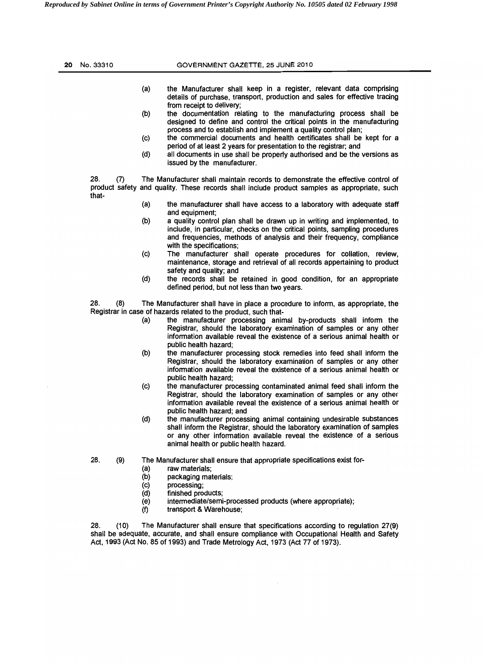| No. 33310<br>20     | GOVERNMENT GAZETTE, 25 JUNE 2010                                                                                                                                                                                                                                          |
|---------------------|---------------------------------------------------------------------------------------------------------------------------------------------------------------------------------------------------------------------------------------------------------------------------|
|                     | (a)<br>the Manufacturer shall keep in a register, relevant data comprising<br>details of purchase, transport, production and sales for effective tracing<br>from receipt to delivery;                                                                                     |
|                     | (b)<br>the documentation relating to the manufacturing process shall be<br>designed to define and control the critical points in the manufacturing<br>process and to establish and implement a quality control plan;                                                      |
|                     | the commercial documents and health certificates shall be kept for a<br>(c)<br>period of at least 2 years for presentation to the registrar; and                                                                                                                          |
|                     | (d)<br>all documents in use shall be properly authorised and be the versions as<br>issued by the manufacturer.                                                                                                                                                            |
| 28.<br>(7)<br>that- | The Manufacturer shall maintain records to demonstrate the effective control of<br>product safety and quality. These records shall include product samples as appropriate, such                                                                                           |
|                     | (a)<br>the manufacturer shall have access to a laboratory with adequate staff<br>and equipment;                                                                                                                                                                           |
|                     | a quality control plan shall be drawn up in writing and implemented, to<br>(b)<br>include, in particular, checks on the critical points, sampling procedures<br>and frequencies, methods of analysis and their frequency, compliance<br>with the specifications;          |
|                     | (c)<br>The manufacturer shall operate procedures for collation, review,<br>maintenance, storage and retrieval of all records appertaining to product<br>safety and quality; and                                                                                           |
|                     | (d)<br>the records shall be retained in good condition, for an appropriate<br>defined period, but not less than two years.                                                                                                                                                |
| 28.<br>(8)          | The Manufacturer shall have in place a procedure to inform, as appropriate, the<br>Registrar in case of hazards related to the product, such that-                                                                                                                        |
|                     | the manufacturer processing animal by-products shall inform the<br>(a)<br>Registrar, should the laboratory examination of samples or any other<br>information available reveal the existence of a serious animal health or<br>public health hazard:                       |
|                     | (b)<br>the manufacturer processing stock remedies into feed shall inform the<br>Registrar, should the laboratory examination of samples or any other<br>information available reveal the existence of a serious animal health or<br>public health hazard;                 |
|                     | (c)<br>the manufacturer processing contaminated animal feed shall inform the<br>Registrar, should the laboratory examination of samples or any other<br>information available reveal the existence of a serious animal health or<br>public health hazard; and             |
|                     | (d)<br>the manufacturer processing animal containing undesirable substances<br>shall inform the Registrar, should the laboratory examination of samples<br>or any other information available reveal the existence of a serious<br>animal health or public health hazard. |
| 28.<br>(9)          | The Manufacturer shall ensure that appropriate specifications exist for-<br>(a)<br>raw materials;<br>(b)<br>packaging materials;<br>(c)<br>processing;<br>(d)<br>finished products;                                                                                       |
|                     | (e)<br>intermediate/semi-processed products (where appropriate);<br>transport & Warehouse;<br>(f)                                                                                                                                                                         |

28. (10) The Manufacturer shall ensure that specifications according to regulation 27(9) shall be adequate, accurate, and shall ensure compliance with Occupational Health and Safety Act, 1993 (Act No. 85 of 1993) and Trade Metrology Act, 1973 (Act 77 of 1973).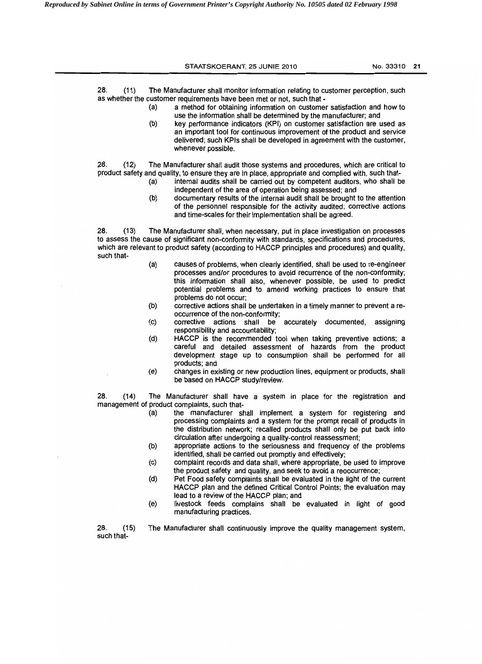STAATSKOERANT, 25 JUNIE 2010 **No. 33310 21** 

28. (11) The Manufacturer shall monitor information relating to customer perception, such as whether the customer requirements have been met or not, such that

- (a) a method for obtaining information on customer satisfaction and how to use the information shall be determined by the manufacturer; and
- (b) key performance indicators (KPI) on customer satisfaction are used as an important tool for continuous improvement of the product and service delivered; such KPls shall be developed in agreement with the customer, whenever possible.

28. (12) The Manufacturer shall audit those systems and procedures, which are critical to product safety and quality, to ensure they are in place. appropriate and complied with, such that

- (a) intemal audits shall be carried out by competent auditors, who shall be independent of the area of operation being assessed; and
- (b) documentary results of the internal audit shall be brought to the attention of the personnel responsible for the activity audited; corrective actions and time-scales for their implementation shall be agreed.

28. (13) The Manufacturer shall. when necessary. put in place investigation on processes to assess the cause of significant non-conformity with standards, specifications and procedures, which are relevant to product safety (according to HACCP principles and procedures) and quality. such that

- (a) causes of problems. when clearly identified, shall be used to re-engineer processes and/or procedures to avoid recurrence of the non-conformity; this information shall also, whenever possible, be used to predict potential problems and to amend working practices to ensure that problems do not occur;
- (b) corrective actions shall be undertaken in a timely manner to prevent a reoccurrence of the non-conformity;<br>corrective actions shall be accurately documented,
- (c) corrective actions shall be accurately documented. assigning responsibility and accountability;
- (d) HACCP is the recommended tool when taking preventive actions; a careful and detailed assessment of hazards from the product development stage up to consumption shall be performed for all products; and
- (e) changes in existing or new production lines, equipment or products, shall be based on HACCP study/review.

28. (14) The Manufacturer shall have a system in place for the registration and management of product complaints, such that

- (a) the manufacturer shall implement a system for registering and processing complaints and a system for the prompt recall of products in the distribution network; recalled products shall only be put back into circulation after undergoing a quality-control reassessment;
- (b) appropriate actions to the seriousness and frequency of the problems identified, shall be carried out promptly and effectively;
- (c) complaint records and data shall, where appropriate. be used to improve the product safety and quality. and seek to avoid a reoccurrence;
- (d) Pet Food safety complaints shall be evaluated in the light of the current HACCP plan and the defined Critical Control Points; the evaluation may lead to a review of the HACCP plan; and
- (e) livestock feeds complains shall be evaluated in light of good manufacturing practices.

28. (15) The Manufacturer shall continuously improve the quality management system. such that-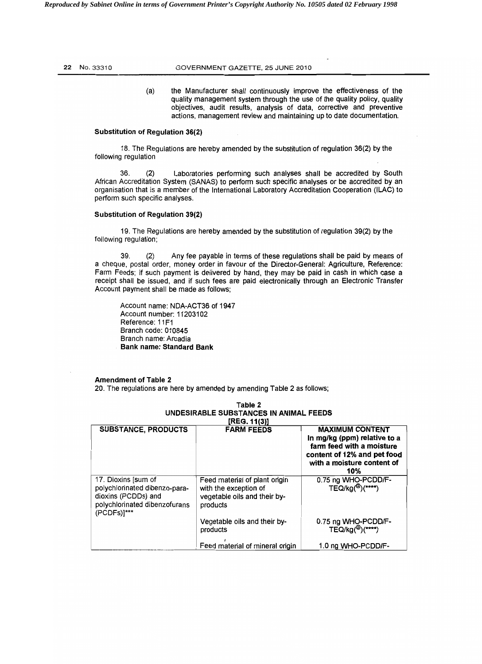# 22 No. 33310 **GOVERNMENT GAZETTE, 25 JUNE 2010**

(a) the Manufacturer shall continuously improve the effectiveness of the quality management system through the use of the quality policy, quality objectives, audit results, analysis of data, corrective and preventive actions, management review and maintaining up to date documentation.

# Substitution of Regulation 36(2)

18. The Regulations are hereby amended by the substitution of regulation 36(2) by the following regulation

36. (2) Laboratories performing such analyses shall be accredited by South African Accreditation System (SANAS) to perform such specific analyses or be accredited by an organisation that is a member of the International Laboratory Accreditation Cooperation (ILAC) to perform such specific analyses.

### Substitution of Regulation 39(2)

19. The Regulations are hereby amended by the substitution of regulation 39(2) by the following regulation;

39. (2) Any fee payable in terms of these regulations shall be paid by means of a cheque, postal order, money order in favour of the Director-General: Agriculture, Reference: Farm Feeds; if such payment is delivered by hand, they may be paid in cash in which case a receipt shall be issued, and if such fees are paid electronically through an Electronic Transfer Account payment shall be made as follows;

Account name: NDA-ACT36 of 1947 Account number: 11203102 Reference: 11F1 Branch code: 010845 Branch name: Arcadia Bank name: Standard Bank

# Amendment of Table 2

20. The regulations are here by amended by amending Table 2 as follows;

| [REG. 11(3)]                                                                                                                |                                                                                                    |                                                                                                                                                         |  |  |  |
|-----------------------------------------------------------------------------------------------------------------------------|----------------------------------------------------------------------------------------------------|---------------------------------------------------------------------------------------------------------------------------------------------------------|--|--|--|
| <b>SUBSTANCE, PRODUCTS</b>                                                                                                  | <b>FARM FEEDS</b>                                                                                  | <b>MAXIMUM CONTENT</b><br>In mg/kg (ppm) relative to a<br>farm feed with a moisture<br>content of 12% and pet food<br>with a moisture content of<br>10% |  |  |  |
| 17. Dioxins [sum of<br>polychlorinated dibenzo-para-<br>dioxins (PCDDs) and<br>polychlorinated dibenzofurans<br>(PCDFs)]*** | Feed material of plant origin<br>with the exception of<br>vegetable oils and their by-<br>products | 0.75 ng WHO-PCDD/F-<br>$TEQ/kg(0)(***)$                                                                                                                 |  |  |  |
|                                                                                                                             | Vegetable oils and their by-<br>products                                                           | 0.75 ng WHO-PCDD/F-<br>TEQ/kg( <sup>@</sup> )(****)                                                                                                     |  |  |  |
|                                                                                                                             | Feed material of mineral origin                                                                    | 1.0 ng WHO-PCDD/F-                                                                                                                                      |  |  |  |

# Table 2 UNDESIRABLE SUBSTANCES IN ANIMAL FEEDS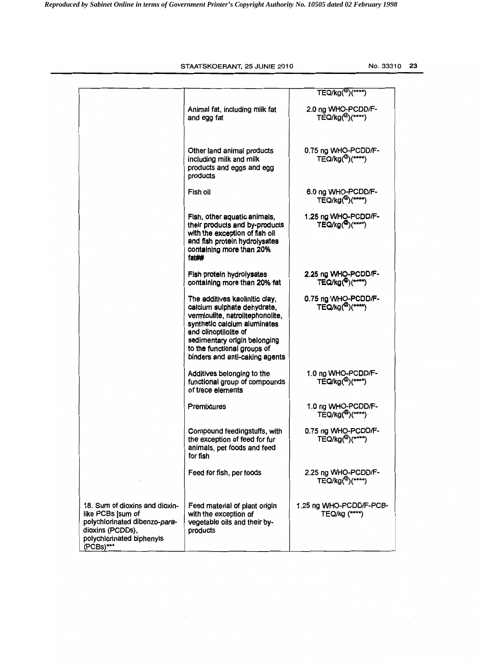STAATSKOERANT, 25 JUNIE 2010

|                                                                                                                                                    |                                                                                                                                                                                                                                                             | TEQ/kg( <sup>@</sup> )(****)                        |
|----------------------------------------------------------------------------------------------------------------------------------------------------|-------------------------------------------------------------------------------------------------------------------------------------------------------------------------------------------------------------------------------------------------------------|-----------------------------------------------------|
|                                                                                                                                                    | Animal fat, including milk fat<br>and egg fat                                                                                                                                                                                                               | 2.0 ng WHO-PCDD/F-<br>TEQ/kg( <sup>@</sup> )(****)  |
|                                                                                                                                                    | Other land animal products<br>including milk and milk<br>products and eggs and egg<br>products                                                                                                                                                              | 0.75 ng WHO-PCDD/F-<br>$TEQ/kg(2)(***)$             |
|                                                                                                                                                    | Fish oil                                                                                                                                                                                                                                                    | 6.0 ng WHO-PCDD/F-<br>TEQ/kg( <sup>@</sup> )(****)  |
|                                                                                                                                                    | Fish, other aquatic animals,<br>their products and by-products<br>with the exception of fish oil<br>and fish protein hydrolysates<br>containing more than 20%<br>fat##                                                                                      | 1.25 ng WHQ-PCDD/F-<br>TEQ/kg( <sup>@</sup> )(****) |
|                                                                                                                                                    | Fish protein hydrolysates<br>containing more than 20% fat                                                                                                                                                                                                   | 2.25 ng WHQ-PCDD/F-<br>TEQ/kg(@)(****)              |
|                                                                                                                                                    | The additives kaolinitic clay,<br>calcium sulphate dehydrate,<br>vermiculite, natrolitephonolite,<br>synthetic calcium aluminates<br>and clinoptilolite of<br>sedimentary origin belonging<br>to the functional groups of<br>binders and anti-caking agents | 0.75 ng WHO-PCDD/F-<br>TEQ/kg( <sup>@</sup> )(****) |
|                                                                                                                                                    | Additives belonging to the<br>functional group of compounds<br>of trace elements                                                                                                                                                                            | 1.0 ng WHO-PCDD/F-<br>TEQ/kg( <sup>@</sup> )(****)  |
|                                                                                                                                                    | Premixtures                                                                                                                                                                                                                                                 | 1.0 ng WHO-PCDD/F-<br>TEQ/kg( <sup>@</sup> )(****)  |
|                                                                                                                                                    | Compound feedingstuffs, with<br>the exception of feed for fur<br>animals, pet foods and feed<br>for fish                                                                                                                                                    | 0.75 ng WHO-PCDD/F-<br>TEQ/kg( <sup>@</sup> )(****) |
|                                                                                                                                                    | Feed for fish, per foods                                                                                                                                                                                                                                    | 2.25 ng WHO-PCDD/F-<br>TEQ/kg( <sup>@</sup> )(****) |
| 18. Sum of dioxins and dioxin-<br>like PCBs [sum of<br>polychlorinated dibenzo-para-<br>dioxins (PCDDs),<br>polychlorinated biphenyls<br>(PCBs)*** | Feed material of plant origin<br>with the exception of<br>vegetable oils and their by-<br>products                                                                                                                                                          | 1.25 ng WHO-PCDD/F-PCB-<br>TEQ/kg (****)            |

 $\mathcal{L}_{\mathcal{A}}$ 

 $\mathcal{L}_{\mathcal{A}}$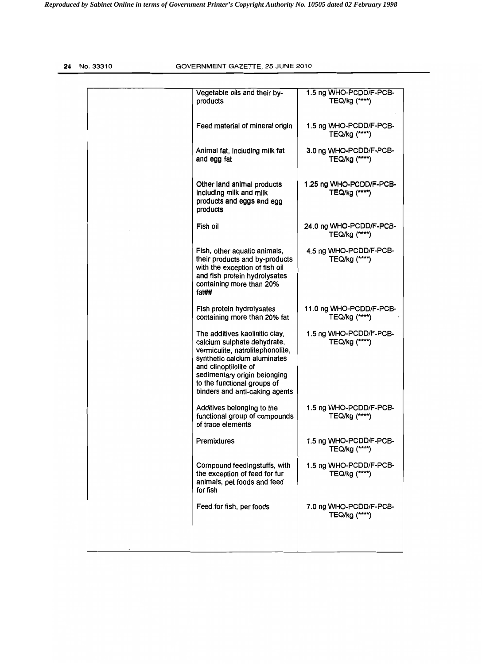# **24** No.33310 GOVERNMENT GAZETTE, 25 JUNE 2010

| Vegetable oils and their by-<br>products                                                                                                                                                                                                                    | 1.5 ng WHO-PCDD/F-PCB-<br>TEQ/kg (****)   |
|-------------------------------------------------------------------------------------------------------------------------------------------------------------------------------------------------------------------------------------------------------------|-------------------------------------------|
| Feed material of mineral origin                                                                                                                                                                                                                             | 1.5 ng WHO-PCDD/F-PCB-<br>TEQ/kg (****)   |
| Animal fat, including milk fat<br>and egg fat                                                                                                                                                                                                               | 3.0 ng WHO-PCDD/F-PCB-<br>TEQ/kg (****)   |
| Other land animal products<br>including milk and milk<br>products and eggs and egg<br>products                                                                                                                                                              | 1.25 ng WHO-PCDD/F-PCB-<br>TEQ/kg (*****) |
| Fish oil                                                                                                                                                                                                                                                    | 24.0 ng WHO-PCDD/F-PCB-<br>TEQ/kg (****)  |
| Fish, other aquatic animals,<br>their products and by-products<br>with the exception of fish oil<br>and fish protein hydrolysates<br>containing more than 20%<br>fat##                                                                                      | 4.5 ng WHO-PCDD/F-PCB-<br>TEQ/kg (****)   |
| Fish protein hydrolysates<br>containing more than 20% fat                                                                                                                                                                                                   | 11.0 ng WHO-PCDD/F-PCB-<br>TEQ/kg (****)  |
| The additives kaolinitic clay,<br>calcium sulphate dehydrate,<br>vermiculite, natrolitephonolite,<br>synthetic calcium aluminates<br>and clinoptilolite of<br>sedimentary origin belonging<br>to the functional groups of<br>binders and anti-caking agents | 1.5 ng WHO-PCDD/F-PCB-<br>TEQ/kg (****)   |
| Additives belonging to the<br>functional group of compounds<br>of trace elements                                                                                                                                                                            | 1.5 ng WHO-PCDD/F-PCB-<br>TEQ/kg (****)   |
| Premixtures                                                                                                                                                                                                                                                 | 1.5 ng WHO-PCDD/F-PCB-<br>TEQ/kg (****)   |
| Compound feedingstuffs, with<br>the exception of feed for fur<br>animals, pet foods and feed<br>for fish                                                                                                                                                    | 1.5 ng WHO-PCDD/F-PCB-<br>TEQ/kg (****)   |
| Feed for fish, per foods                                                                                                                                                                                                                                    | 7.0 ng WHO-PCDD/F-PCB-<br>TEQ/kg (****)   |
|                                                                                                                                                                                                                                                             |                                           |
|                                                                                                                                                                                                                                                             |                                           |

I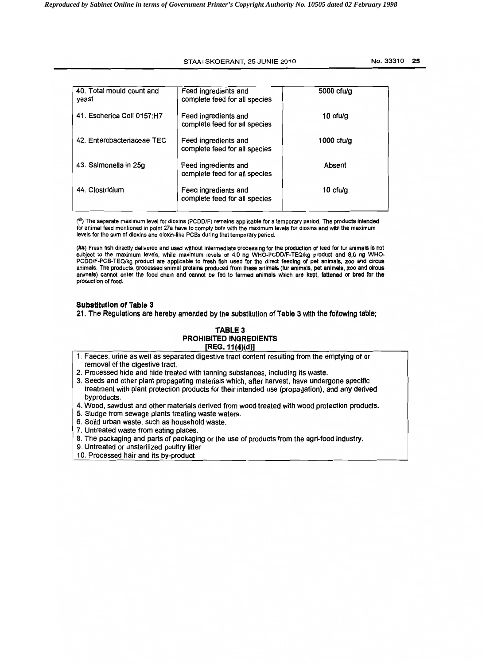# STAATSKOERANT, 25 JUNIE 2010 10 No. 33310 25

| 40. Total mould count and<br>yeast | Feed ingredients and<br>complete feed for all species | $5000$ cfu/g |
|------------------------------------|-------------------------------------------------------|--------------|
| 41. Escherica Coli 0157:H7         | Feed ingredients and<br>complete feed for all species | 10 $ctu/a$   |
| 42. Enterobacteriaceae TEC         | Feed ingredients and<br>complete feed for all species | $1000$ cfu/g |
| 43. Salmonella in 25g              | Feed ingredients and<br>complete feed for all species | Absent       |
| 44. Clostridium                    | Feed ingredients and<br>complete feed for all species | 10 $ctu/g$   |

(<sup>@</sup>) The separate maximum level for dioxins (PCDD/F) remains applicable for a temporary period. The prod**ucts in**tended for animal feed mentioned in point 27a have to comply both with the maximum levels for dioxins and with the maximum levels for the sum of dioxins and dioxin-like PCBs during that temporary period.

(##) Fresh fish directly delivered and used without intermediate processing for the production of feed for fur animals is not subject to the maximum levels, while maximum levels of 4,0 ng WHO-PCDD/F-TEQlkg product and 8,0 ng WHO-PCDD/F-PCB-TEQ/kg product are applicable to fresh fish used for the direct feeding of pet animals, zoo and circus animals, The products, processed animal proteins produced from these animals (fur animals, pet animals, zoo and circus animals) cannot enter the food chain and cannot be fed to farmed animals which are kept, fattened or bred for the production of food.

## Substitution of Table 3

21. The Regulations are hereby amended by the substitution of Table 3 with the following table;

# TABLE 3 PROHIBITED INGREDIENTS  $[REG. 11(4)(d)]$

1. Faeces, urine as well as separated digestive tract content resulting from the emptying of or removal of the digestive tract.

2. Processed hide and hide treated with tanning substances, including its waste.

- 3. Seeds and other plant propagating materials which, after harvest, have undergone specific treatment with plant protection products for their intended use (propagation), and any derived byproducts.
- 4. Wood, sawdust and other materials derived from wood treated with wood protection products.
- 5. Sludge from sewage plants treating waste waters.
- 6. Solid urban waste, such as household waste.
- 7. Untreated waste from eating places.
- 8. The packaging and parts of packaging orthe use of products from the agri-food industry.
- 9. Untreated or unsterilized poultry litter
- 10. Processed hair and its by-product